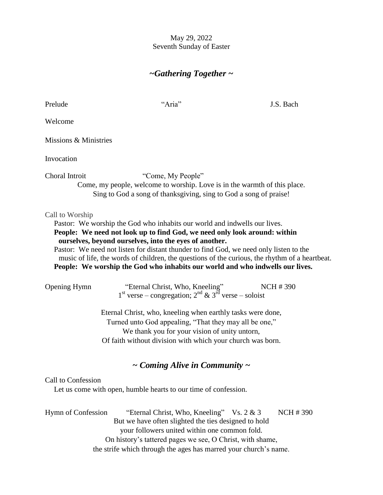### May 29, 2022 Seventh Sunday of Easter

# *~Gathering Together ~*

| Prelude               | "Aria"                                                                                                                                                                                                                                                                                                                                                                                      | J.S. Bach                                                                                      |
|-----------------------|---------------------------------------------------------------------------------------------------------------------------------------------------------------------------------------------------------------------------------------------------------------------------------------------------------------------------------------------------------------------------------------------|------------------------------------------------------------------------------------------------|
| Welcome               |                                                                                                                                                                                                                                                                                                                                                                                             |                                                                                                |
| Missions & Ministries |                                                                                                                                                                                                                                                                                                                                                                                             |                                                                                                |
| Invocation            |                                                                                                                                                                                                                                                                                                                                                                                             |                                                                                                |
| Choral Introit        | "Come, My People"<br>Come, my people, welcome to worship. Love is in the warmth of this place.<br>Sing to God a song of thanksgiving, sing to God a song of praise!                                                                                                                                                                                                                         |                                                                                                |
| Call to Worship       | Pastor: We worship the God who inhabits our world and indwells our lives.<br>People: We need not look up to find God, we need only look around: within<br>ourselves, beyond ourselves, into the eyes of another.<br>Pastor: We need not listen for distant thunder to find God, we need only listen to the<br>People: We worship the God who inhabits our world and who indwells our lives. | music of life, the words of children, the questions of the curious, the rhythm of a heartbeat. |
| <b>Opening Hymn</b>   | "Eternal Christ, Who, Kneeling" N<br>1 <sup>st</sup> verse – congregation; 2 <sup>nd</sup> & 3 <sup>rd</sup> verse – soloist                                                                                                                                                                                                                                                                | <b>NCH #390</b>                                                                                |
|                       | Eternal Christ, who, kneeling when earthly tasks were done,<br>Turned unto God appealing, "That they may all be one,"<br>We thank you for your vision of unity untorn,<br>Of faith without division with which your church was born.                                                                                                                                                        |                                                                                                |
|                       | $\sim$ Coming Alive in Community $\sim$                                                                                                                                                                                                                                                                                                                                                     |                                                                                                |
| Call to Confession    | Let us come with open, humble hearts to our time of confession.                                                                                                                                                                                                                                                                                                                             |                                                                                                |
| Hymn of Confession    | "Eternal Christ, Who, Kneeling" Vs. 2 & 3<br>But we have often slighted the ties designed to hold<br>your followers united within one common fold.<br>On history's tattered pages we see, O Christ, with shame,                                                                                                                                                                             | <b>NCH #390</b>                                                                                |

the strife which through the ages has marred your church's name.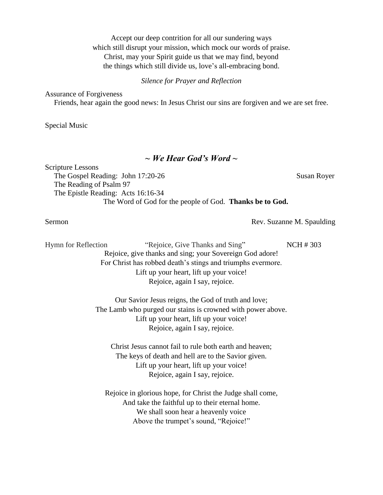Accept our deep contrition for all our sundering ways which still disrupt your mission, which mock our words of praise. Christ, may your Spirit guide us that we may find, beyond the things which still divide us, love's all-embracing bond.

*Silence for Prayer and Reflection*

Assurance of Forgiveness

Friends, hear again the good news: In Jesus Christ our sins are forgiven and we are set free.

Special Music

#### *~ We Hear God's Word ~*

Scripture Lessons The Gospel Reading: John 17:20-26 Susan Royer The Reading of Psalm 97 The Epistle Reading: Acts 16:16-34 The Word of God for the people of God. **Thanks be to God.**

Sermon Rev. Suzanne M. Spaulding

Hymn for Reflection "Rejoice, Give Thanks and Sing" **NCH # 303** Rejoice, give thanks and sing; your Sovereign God adore! For Christ has robbed death's stings and triumphs evermore. Lift up your heart, lift up your voice! Rejoice, again I say, rejoice.

> Our Savior Jesus reigns, the God of truth and love; The Lamb who purged our stains is crowned with power above. Lift up your heart, lift up your voice! Rejoice, again I say, rejoice.

Christ Jesus cannot fail to rule both earth and heaven; The keys of death and hell are to the Savior given. Lift up your heart, lift up your voice! Rejoice, again I say, rejoice.

Rejoice in glorious hope, for Christ the Judge shall come, And take the faithful up to their eternal home. We shall soon hear a heavenly voice Above the trumpet's sound, "Rejoice!"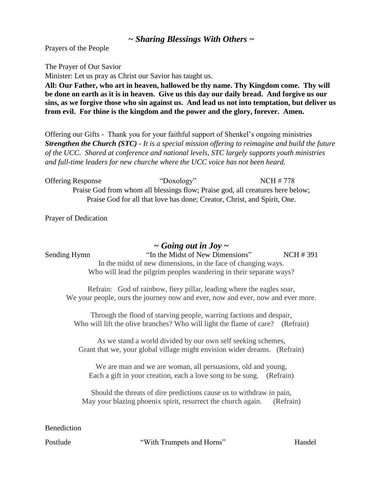## *~ Sharing Blessings With Others ~*

Prayers of the People

The Prayer of Our Savior

Minister: Let us pray as Christ our Savior has taught us.

**All: Our Father, who art in heaven, hallowed be thy name. Thy Kingdom come. Thy will be done on earth as it is in heaven. Give us this day our daily bread. And forgive us our sins, as we forgive those who sin against us. And lead us not into temptation, but deliver us from evil. For thine is the kingdom and the power and the glory, forever. Amen.**

Offering our Gifts - Thank you for your faithful support of Shenkel's ongoing ministries *Strengthen the Church (STC) - It is a special mission offering to reimagine and build the future of the UCC. Shared at conference and national levels, STC largely supports youth ministries and full-time leaders for new churche where the UCC voice has not been heard.* 

Offering Response "Doxology" NCH # 778 Praise God from whom all blessings flow; Praise god, all creatures here below; Praise God for all that love has done; Creator, Christ, and Spirit, One.

Prayer of Dedication

#### *~ Going out in Joy ~*

Sending Hymn "In the Midst of New Dimensions" NCH # 391 In the midst of new dimensions, in the face of changing ways. Who will lead the pilgrim peoples wandering in their separate ways?

Refrain: God of rainbow, fiery pillar, leading where the eagles soar, We your people, ours the journey now and ever, now and ever, now and ever more.

Through the flood of starving people, warring factions and despair, Who will lift the olive branches? Who will light the flame of care? (Refrain)

As we stand a world divided by our own self seeking schemes, Grant that we, your global village might envision wider dreams. (Refrain)

We are man and we are woman, all persuasions, old and young, Each a gift in your creation, each a love song to be sung. (Refrain)

Should the threats of dire predictions cause us to withdraw in pain, May your blazing phoenix spirit, resurrect the church again. (Refrain)

Benediction

Postlude "With Trumpets and Horns" Handel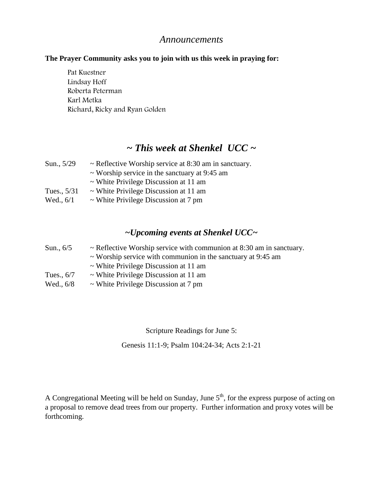### *Announcements*

#### **The Prayer Community asks you to join with us this week in praying for:**

Pat Kuestner Lindsay Hoff Roberta Peterman Karl Metka Richard, Ricky and Ryan Golden

## *~ This week at Shenkel UCC ~*

| Sun., 5/29  | $\sim$ Reflective Worship service at 8:30 am in sanctuary. |
|-------------|------------------------------------------------------------|
|             | $\sim$ Worship service in the sanctuary at 9:45 am         |
|             | $\sim$ White Privilege Discussion at 11 am                 |
| Tues., 5/31 | $\sim$ White Privilege Discussion at 11 am                 |
| Wed., $6/1$ | $\sim$ White Privilege Discussion at 7 pm                  |

## *~Upcoming events at Shenkel UCC~*

| Sun., 6/5    | $\sim$ Reflective Worship service with communion at 8:30 am in sanctuary. |
|--------------|---------------------------------------------------------------------------|
|              | $\sim$ Worship service with communion in the sanctuary at 9:45 am         |
|              | $\sim$ White Privilege Discussion at 11 am                                |
| Tues., $6/7$ | $\sim$ White Privilege Discussion at 11 am                                |
| Wed., 6/8    | $\sim$ White Privilege Discussion at 7 pm                                 |

Scripture Readings for June 5:

Genesis 11:1-9; Psalm 104:24-34; Acts 2:1-21

A Congregational Meeting will be held on Sunday, June  $5<sup>th</sup>$ , for the express purpose of acting on a proposal to remove dead trees from our property. Further information and proxy votes will be forthcoming.